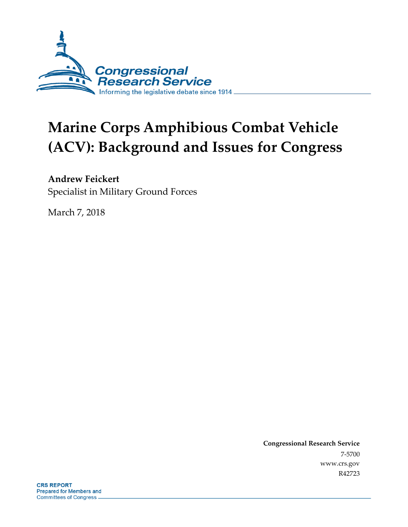

# **Marine Corps Amphibious Combat Vehicle (ACV): Background and Issues for Congress**

#### **Andrew Feickert**

Specialist in Military Ground Forces

March 7, 2018

**Congressional Research Service** 7-5700 www.crs.gov R42723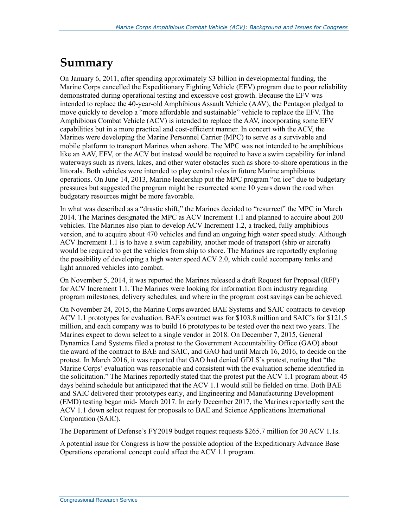### **Summary**

On January 6, 2011, after spending approximately \$3 billion in developmental funding, the Marine Corps cancelled the Expeditionary Fighting Vehicle (EFV) program due to poor reliability demonstrated during operational testing and excessive cost growth. Because the EFV was intended to replace the 40-year-old Amphibious Assault Vehicle (AAV), the Pentagon pledged to move quickly to develop a "more affordable and sustainable" vehicle to replace the EFV. The Amphibious Combat Vehicle (ACV) is intended to replace the AAV, incorporating some EFV capabilities but in a more practical and cost-efficient manner. In concert with the ACV, the Marines were developing the Marine Personnel Carrier (MPC) to serve as a survivable and mobile platform to transport Marines when ashore. The MPC was not intended to be amphibious like an AAV, EFV, or the ACV but instead would be required to have a swim capability for inland waterways such as rivers, lakes, and other water obstacles such as shore-to-shore operations in the littorals. Both vehicles were intended to play central roles in future Marine amphibious operations. On June 14, 2013, Marine leadership put the MPC program "on ice" due to budgetary pressures but suggested the program might be resurrected some 10 years down the road when budgetary resources might be more favorable.

In what was described as a "drastic shift," the Marines decided to "resurrect" the MPC in March 2014. The Marines designated the MPC as ACV Increment 1.1 and planned to acquire about 200 vehicles. The Marines also plan to develop ACV Increment 1.2, a tracked, fully amphibious version, and to acquire about 470 vehicles and fund an ongoing high water speed study. Although ACV Increment 1.1 is to have a swim capability, another mode of transport (ship or aircraft) would be required to get the vehicles from ship to shore. The Marines are reportedly exploring the possibility of developing a high water speed ACV 2.0, which could accompany tanks and light armored vehicles into combat.

On November 5, 2014, it was reported the Marines released a draft Request for Proposal (RFP) for ACV Increment 1.1. The Marines were looking for information from industry regarding program milestones, delivery schedules, and where in the program cost savings can be achieved.

On November 24, 2015, the Marine Corps awarded BAE Systems and SAIC contracts to develop ACV 1.1 prototypes for evaluation. BAE's contract was for \$103.8 million and SAIC's for \$121.5 million, and each company was to build 16 prototypes to be tested over the next two years. The Marines expect to down select to a single vendor in 2018. On December 7, 2015, General Dynamics Land Systems filed a protest to the Government Accountability Office (GAO) about the award of the contract to BAE and SAIC, and GAO had until March 16, 2016, to decide on the protest. In March 2016, it was reported that GAO had denied GDLS's protest, noting that "the Marine Corps' evaluation was reasonable and consistent with the evaluation scheme identified in the solicitation." The Marines reportedly stated that the protest put the ACV 1.1 program about 45 days behind schedule but anticipated that the ACV 1.1 would still be fielded on time. Both BAE and SAIC delivered their prototypes early, and Engineering and Manufacturing Development (EMD) testing began mid- March 2017. In early December 2017, the Marines reportedly sent the ACV 1.1 down select request for proposals to BAE and Science Applications International Corporation (SAIC).

The Department of Defense's FY2019 budget request requests \$265.7 million for 30 ACV 1.1s.

A potential issue for Congress is how the possible adoption of the Expeditionary Advance Base Operations operational concept could affect the ACV 1.1 program.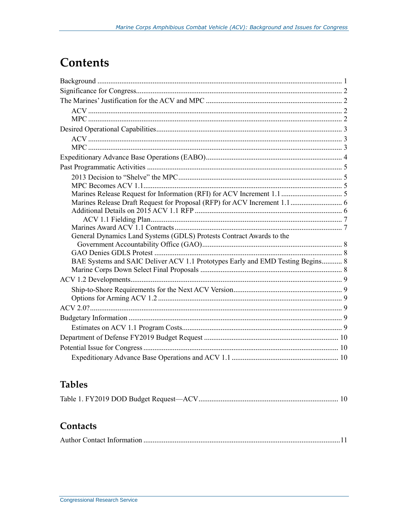### **Contents**

| General Dynamics Land Systems (GDLS) Protests Contract Awards to the           |  |
|--------------------------------------------------------------------------------|--|
|                                                                                |  |
|                                                                                |  |
| BAE Systems and SAIC Deliver ACV 1.1 Prototypes Early and EMD Testing Begins 8 |  |
|                                                                                |  |
|                                                                                |  |
|                                                                                |  |
|                                                                                |  |
|                                                                                |  |
|                                                                                |  |
|                                                                                |  |
|                                                                                |  |
|                                                                                |  |
|                                                                                |  |

#### **Tables**

|--|--|--|--|

#### Contacts

|--|--|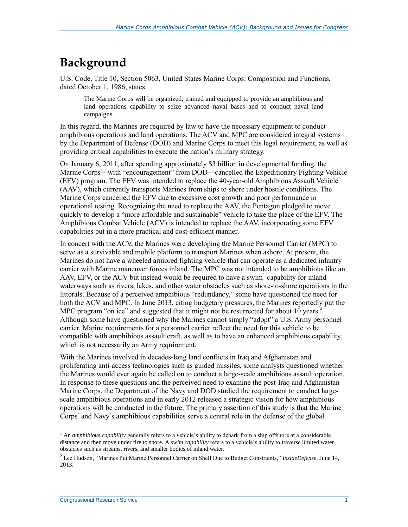# **Background**

U.S. Code, Title 10, Section 5063, United States Marine Corps: Composition and Functions, dated October 1, 1986, states:

The Marine Corps will be organized, trained and equipped to provide an amphibious and land operations capability to seize advanced naval bases and to conduct naval land campaigns.

In this regard, the Marines are required by law to have the necessary equipment to conduct amphibious operations and land operations. The ACV and MPC are considered integral systems by the Department of Defense (DOD) and Marine Corps to meet this legal requirement, as well as providing critical capabilities to execute the nation's military strategy.

On January 6, 2011, after spending approximately \$3 billion in developmental funding, the Marine Corps—with "encouragement" from DOD—cancelled the Expeditionary Fighting Vehicle (EFV) program. The EFV was intended to replace the 40-year-old Amphibious Assault Vehicle (AAV), which currently transports Marines from ships to shore under hostile conditions. The Marine Corps cancelled the EFV due to excessive cost growth and poor performance in operational testing. Recognizing the need to replace the AAV, the Pentagon pledged to move quickly to develop a "more affordable and sustainable" vehicle to take the place of the EFV. The Amphibious Combat Vehicle (ACV) is intended to replace the AAV, incorporating some EFV capabilities but in a more practical and cost-efficient manner.

In concert with the ACV, the Marines were developing the Marine Personnel Carrier (MPC) to serve as a survivable and mobile platform to transport Marines when ashore. At present, the Marines do not have a wheeled armored fighting vehicle that can operate as a dedicated infantry carrier with Marine maneuver forces inland. The MPC was not intended to be amphibious like an AAV, EFV, or the ACV but instead would be required to have a swim<sup>1</sup> capability for inland waterways such as rivers, lakes, and other water obstacles such as shore-to-shore operations in the littorals. Because of a perceived amphibious "redundancy," some have questioned the need for both the ACV and MPC. In June 2013, citing budgetary pressures, the Marines reportedly put the MPC program "on ice" and suggested that it might not be resurrected for about 10 years.<sup>2</sup> Although some have questioned why the Marines cannot simply "adopt" a U.S. Army personnel carrier, Marine requirements for a personnel carrier reflect the need for this vehicle to be compatible with amphibious assault craft, as well as to have an enhanced amphibious capability, which is not necessarily an Army requirement.

With the Marines involved in decades-long land conflicts in Iraq and Afghanistan and proliferating anti-access technologies such as guided missiles, some analysts questioned whether the Marines would ever again be called on to conduct a large-scale amphibious assault operation. In response to these questions and the perceived need to examine the post-Iraq and Afghanistan Marine Corps, the Department of the Navy and DOD studied the requirement to conduct largescale amphibious operations and in early 2012 released a strategic vision for how amphibious operations will be conducted in the future. The primary assertion of this study is that the Marine Corps' and Navy's amphibious capabilities serve a central role in the defense of the global

 $\overline{a}$ <sup>1</sup> An *amphibious capability* generally refers to a vehicle's ability to debark from a ship offshore at a considerable distance and then move under fire to shore. A *swim capability* refers to a vehicle's ability to traverse limited water obstacles such as streams, rivers, and smaller bodies of inland water.

<sup>2</sup> Lee Hudson, "Marines Put Marine Personnel Carrier on Shelf Due to Budget Constraints," *InsideDefense,* June 14, 2013.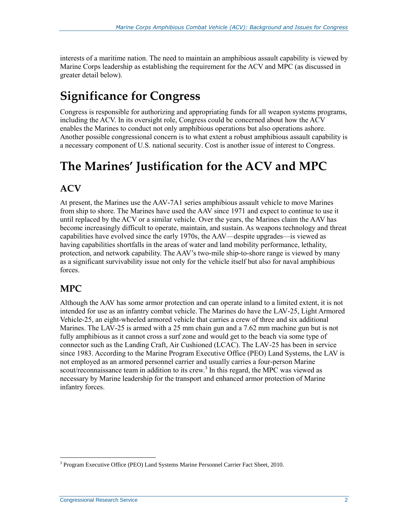interests of a maritime nation. The need to maintain an amphibious assault capability is viewed by Marine Corps leadership as establishing the requirement for the ACV and MPC (as discussed in greater detail below).

# **Significance for Congress**

Congress is responsible for authorizing and appropriating funds for all weapon systems programs, including the ACV. In its oversight role, Congress could be concerned about how the ACV enables the Marines to conduct not only amphibious operations but also operations ashore. Another possible congressional concern is to what extent a robust amphibious assault capability is a necessary component of U.S. national security. Cost is another issue of interest to Congress.

# **The Marines' Justification for the ACV and MPC**

#### **ACV**

At present, the Marines use the AAV-7A1 series amphibious assault vehicle to move Marines from ship to shore. The Marines have used the AAV since 1971 and expect to continue to use it until replaced by the ACV or a similar vehicle. Over the years, the Marines claim the AAV has become increasingly difficult to operate, maintain, and sustain. As weapons technology and threat capabilities have evolved since the early 1970s, the AAV—despite upgrades—is viewed as having capabilities shortfalls in the areas of water and land mobility performance, lethality, protection, and network capability. The AAV's two-mile ship-to-shore range is viewed by many as a significant survivability issue not only for the vehicle itself but also for naval amphibious forces.

#### **MPC**

Although the AAV has some armor protection and can operate inland to a limited extent, it is not intended for use as an infantry combat vehicle. The Marines do have the LAV-25, Light Armored Vehicle-25, an eight-wheeled armored vehicle that carries a crew of three and six additional Marines. The LAV-25 is armed with a 25 mm chain gun and a 7.62 mm machine gun but is not fully amphibious as it cannot cross a surf zone and would get to the beach via some type of connector such as the Landing Craft, Air Cushioned (LCAC). The LAV-25 has been in service since 1983. According to the Marine Program Executive Office (PEO) Land Systems, the LAV is not employed as an armored personnel carrier and usually carries a four-person Marine scout/reconnaissance team in addition to its crew.<sup>3</sup> In this regard, the MPC was viewed as necessary by Marine leadership for the transport and enhanced armor protection of Marine infantry forces.

 $\overline{a}$ <sup>3</sup> Program Executive Office (PEO) Land Systems Marine Personnel Carrier Fact Sheet, 2010.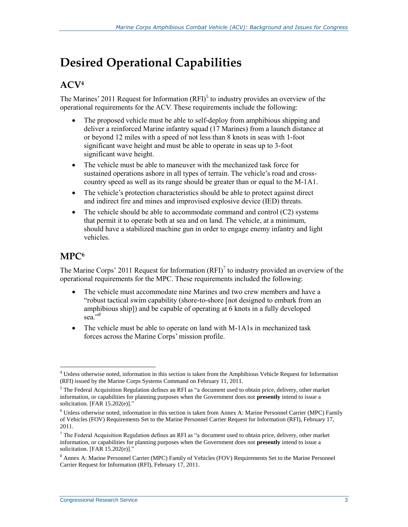# **Desired Operational Capabilities**

#### **ACV<sup>4</sup>**

The Marines' 2011 Request for Information  $(RFI)^5$  to industry provides an overview of the operational requirements for the ACV. These requirements include the following:

- The proposed vehicle must be able to self-deploy from amphibious shipping and deliver a reinforced Marine infantry squad (17 Marines) from a launch distance at or beyond 12 miles with a speed of not less than 8 knots in seas with 1-foot significant wave height and must be able to operate in seas up to 3-foot significant wave height.
- The vehicle must be able to maneuver with the mechanized task force for sustained operations ashore in all types of terrain. The vehicle's road and crosscountry speed as well as its range should be greater than or equal to the M-1A1.
- The vehicle's protection characteristics should be able to protect against direct and indirect fire and mines and improvised explosive device (IED) threats.
- $\bullet$  The vehicle should be able to accommodate command and control (C2) systems that permit it to operate both at sea and on land. The vehicle, at a minimum, should have a stabilized machine gun in order to engage enemy infantry and light vehicles.

#### **MPC<sup>6</sup>**

 $\overline{a}$ 

The Marine Corps' 2011 Request for Information  $(RFI)^7$  to industry provided an overview of the operational requirements for the MPC. These requirements included the following:

- The vehicle must accommodate nine Marines and two crew members and have a "robust tactical swim capability (shore-to-shore [not designed to embark from an amphibious ship]) and be capable of operating at 6 knots in a fully developed sea."<sup>8</sup>
- The vehicle must be able to operate on land with M-1A1s in mechanized task forces across the Marine Corps' mission profile.

<sup>4</sup> Unless otherwise noted, information in this section is taken from the Amphibious Vehicle Request for Information (RFI) issued by the Marine Corps Systems Command on February 11, 2011.

<sup>5</sup> The Federal Acquisition Regulation defines an RFI as "a document used to obtain price, delivery, other market information, or capabilities for planning purposes when the Government does not **presently** intend to issue a solicitation. [FAR 15.202(e)]."

<sup>6</sup> Unless otherwise noted, information in this section is taken from Annex A: Marine Personnel Carrier (MPC) Family of Vehicles (FOV) Requirements Set to the Marine Personnel Carrier Request for Information (RFI), February 17, 2011.

 $7$  The Federal Acquisition Regulation defines an RFI as "a document used to obtain price, delivery, other market information, or capabilities for planning purposes when the Government does not **presently** intend to issue a solicitation. [FAR 15.202(e)]."

<sup>8</sup> Annex A: Marine Personnel Carrier (MPC) Family of Vehicles (FOV) Requirements Set to the Marine Personnel Carrier Request for Information (RFI), February 17, 2011.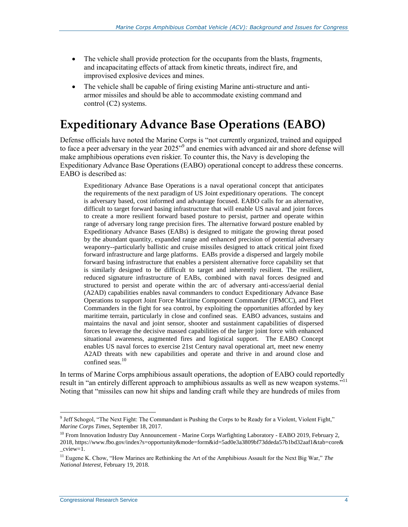- The vehicle shall provide protection for the occupants from the blasts, fragments, and incapacitating effects of attack from kinetic threats, indirect fire, and improvised explosive devices and mines.
- The vehicle shall be capable of firing existing Marine anti-structure and antiarmor missiles and should be able to accommodate existing command and control (C2) systems.

### **Expeditionary Advance Base Operations (EABO)**

Defense officials have noted the Marine Corps is "not currently organized, trained and equipped to face a peer adversary in the year 2025"<sup>9</sup> and enemies with advanced air and shore defense will make amphibious operations even riskier. To counter this, the Navy is developing the Expeditionary Advance Base Operations (EABO) operational concept to address these concerns. EABO is described as:

Expeditionary Advance Base Operations is a naval operational concept that anticipates the requirements of the next paradigm of US Joint expeditionary operations. The concept is adversary based, cost informed and advantage focused. EABO calls for an alternative, difficult to target forward basing infrastructure that will enable US naval and joint forces to create a more resilient forward based posture to persist, partner and operate within range of adversary long range precision fires. The alternative forward posture enabled by Expeditionary Advance Bases (EABs) is designed to mitigate the growing threat posed by the abundant quantity, expanded range and enhanced precision of potential adversary weaponry--particularly ballistic and cruise missiles designed to attack critical joint fixed forward infrastructure and large platforms. EABs provide a dispersed and largely mobile forward basing infrastructure that enables a persistent alternative force capability set that is similarly designed to be difficult to target and inherently resilient. The resilient, reduced signature infrastructure of EABs, combined with naval forces designed and structured to persist and operate within the arc of adversary anti-access/aerial denial (A2AD) capabilities enables naval commanders to conduct Expeditionary Advance Base Operations to support Joint Force Maritime Component Commander (JFMCC), and Fleet Commanders in the fight for sea control, by exploiting the opportunities afforded by key maritime terrain, particularly in close and confined seas. EABO advances, sustains and maintains the naval and joint sensor, shooter and sustainment capabilities of dispersed forces to leverage the decisive massed capabilities of the larger joint force with enhanced situational awareness, augmented fires and logistical support. The EABO Concept enables US naval forces to exercise 21st Century naval operational art, meet new enemy A2AD threats with new capabilities and operate and thrive in and around close and confined seas.<sup>10</sup>

In terms of Marine Corps amphibious assault operations, the adoption of EABO could reportedly result in "an entirely different approach to amphibious assaults as well as new weapon systems."<sup>11</sup> Noting that "missiles can now hit ships and landing craft while they are hundreds of miles from

<sup>9</sup> Jeff Schogol, "The Next Fight: The Commandant is Pushing the Corps to be Ready for a Violent, Violent Fight," *Marine Corps Times,* September 18, 2017.

<sup>&</sup>lt;sup>10</sup> From Innovation Industry Day Announcement - Marine Corps Warfighting Laboratory - EABO 2019, February 2, 2018, https://www.fbo.gov/index?s=opportunity&mode=form&id=5ad0e3a3809bf73ddeda57b1bd32aaf1&tab=core&  $cview=1$ .

<sup>11</sup> Eugene K. Chow, "How Marines are Rethinking the Art of the Amphibious Assault for the Next Big War," *The National Interest,* February 19, 2018.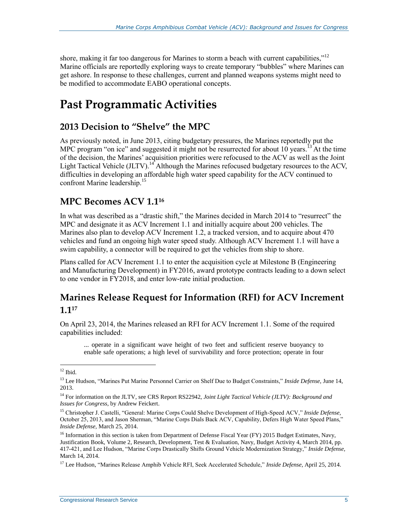shore, making it far too dangerous for Marines to storm a beach with current capabilities,"<sup>12</sup> Marine officials are reportedly exploring ways to create temporary "bubbles" where Marines can get ashore. In response to these challenges, current and planned weapons systems might need to be modified to accommodate EABO operational concepts.

### **Past Programmatic Activities**

#### **2013 Decision to "Shelve" the MPC**

As previously noted, in June 2013, citing budgetary pressures, the Marines reportedly put the MPC program "on ice" and suggested it might not be resurrected for about 10 years.<sup>13</sup> At the time of the decision, the Marines' acquisition priorities were refocused to the ACV as well as the Joint Light Tactical Vehicle (JLTV).<sup>14</sup> Although the Marines refocused budgetary resources to the ACV, difficulties in developing an affordable high water speed capability for the ACV continued to confront Marine leadership.<sup>15</sup>

#### **MPC Becomes ACV 1.1<sup>16</sup>**

In what was described as a "drastic shift," the Marines decided in March 2014 to "resurrect" the MPC and designate it as ACV Increment 1.1 and initially acquire about 200 vehicles. The Marines also plan to develop ACV Increment 1.2, a tracked version, and to acquire about 470 vehicles and fund an ongoing high water speed study. Although ACV Increment 1.1 will have a swim capability, a connector will be required to get the vehicles from ship to shore.

Plans called for ACV Increment 1.1 to enter the acquisition cycle at Milestone B (Engineering and Manufacturing Development) in FY2016, award prototype contracts leading to a down select to one vendor in FY2018, and enter low-rate initial production.

#### **Marines Release Request for Information (RFI) for ACV Increment 1.1<sup>17</sup>**

On April 23, 2014, the Marines released an RFI for ACV Increment 1.1. Some of the required capabilities included:

... operate in a significant wave height of two feet and sufficient reserve buoyancy to enable safe operations; a high level of survivability and force protection; operate in four

 $12$  Ibid.

<sup>13</sup> Lee Hudson, "Marines Put Marine Personnel Carrier on Shelf Due to Budget Constraints," *Inside Defense*, June 14, 2013.

<sup>14</sup> For information on the JLTV, see CRS Report RS22942, *Joint Light Tactical Vehicle (JLTV): Background and Issues for Congress*, by Andrew Feickert.

<sup>15</sup> Christopher J. Castelli, "General: Marine Corps Could Shelve Development of High-Speed ACV," *Inside Defense,*  October 25, 2013, and Jason Sherman, "Marine Corps Dials Back ACV, Capability, Defers High Water Speed Plans," *Inside Defense,* March 25, 2014.

<sup>&</sup>lt;sup>16</sup> Information in this section is taken from Department of Defense Fiscal Year (FY) 2015 Budget Estimates, Navy, Justification Book, Volume 2, Research, Development, Test & Evaluation, Navy, Budget Activity 4, March 2014, pp. 417-421, and Lee Hudson, "Marine Corps Drastically Shifts Ground Vehicle Modernization Strategy," *Inside Defense,*  March 14, 2014.

<sup>17</sup> Lee Hudson, "Marines Release Amphib Vehicle RFI, Seek Accelerated Schedule," *Inside Defense,* April 25, 2014.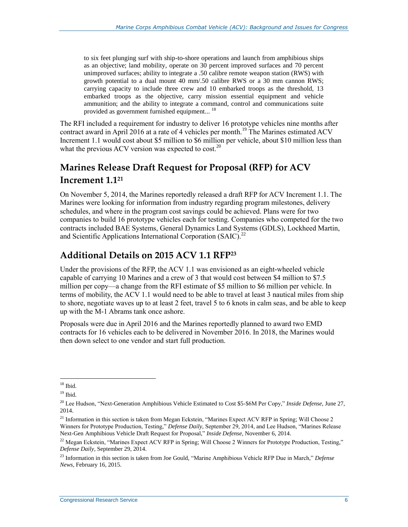to six feet plunging surf with ship-to-shore operations and launch from amphibious ships as an objective; land mobility, operate on 30 percent improved surfaces and 70 percent unimproved surfaces; ability to integrate a .50 calibre remote weapon station (RWS) with growth potential to a dual mount 40 mm/.50 calibre RWS or a 30 mm cannon RWS; carrying capacity to include three crew and 10 embarked troops as the threshold, 13 embarked troops as the objective, carry mission essential equipment and vehicle ammunition; and the ability to integrate a command, control and communications suite provided as government furnished equipment...<sup>18</sup>

The RFI included a requirement for industry to deliver 16 prototype vehicles nine months after contract award in April 2016 at a rate of 4 vehicles per month.<sup>19</sup> The Marines estimated ACV Increment 1.1 would cost about \$5 million to \$6 million per vehicle, about \$10 million less than what the previous ACV version was expected to  $cost^{20}$ .

#### **Marines Release Draft Request for Proposal (RFP) for ACV Increment 1.1<sup>21</sup>**

On November 5, 2014, the Marines reportedly released a draft RFP for ACV Increment 1.1. The Marines were looking for information from industry regarding program milestones, delivery schedules, and where in the program cost savings could be achieved. Plans were for two companies to build 16 prototype vehicles each for testing. Companies who competed for the two contracts included BAE Systems, General Dynamics Land Systems (GDLS), Lockheed Martin, and Scientific Applications International Corporation (SAIC).<sup>22</sup>

#### **Additional Details on 2015 ACV 1.1 RFP<sup>23</sup>**

Under the provisions of the RFP, the ACV 1.1 was envisioned as an eight-wheeled vehicle capable of carrying 10 Marines and a crew of 3 that would cost between \$4 million to \$7.5 million per copy—a change from the RFI estimate of \$5 million to \$6 million per vehicle. In terms of mobility, the ACV 1.1 would need to be able to travel at least 3 nautical miles from ship to shore, negotiate waves up to at least 2 feet, travel 5 to 6 knots in calm seas, and be able to keep up with the M-1 Abrams tank once ashore.

Proposals were due in April 2016 and the Marines reportedly planned to award two EMD contracts for 16 vehicles each to be delivered in November 2016. In 2018, the Marines would then down select to one vendor and start full production.

 $18$  Ibid.

<sup>19</sup> Ibid.

<sup>20</sup> Lee Hudson, "Next-Generation Amphibious Vehicle Estimated to Cost \$5-\$6M Per Copy," *Inside Defense,* June 27, 2014.

<sup>&</sup>lt;sup>21</sup> Information in this section is taken from Megan Eckstein, "Marines Expect ACV RFP in Spring; Will Choose 2 Winners for Prototype Production, Testing," *Defense Daily,* September 29, 2014, and Lee Hudson, "Marines Release Next-Gen Amphibious Vehicle Draft Request for Proposal," *Inside Defense,* November 6, 2014.

 $22$  Megan Eckstein, "Marines Expect ACV RFP in Spring; Will Choose 2 Winners for Prototype Production, Testing," *Defense Daily*, September 29, 2014.

<sup>23</sup> Information in this section is taken from Joe Gould, "Marine Amphibious Vehicle RFP Due in March," *Defense News,* February 16, 2015.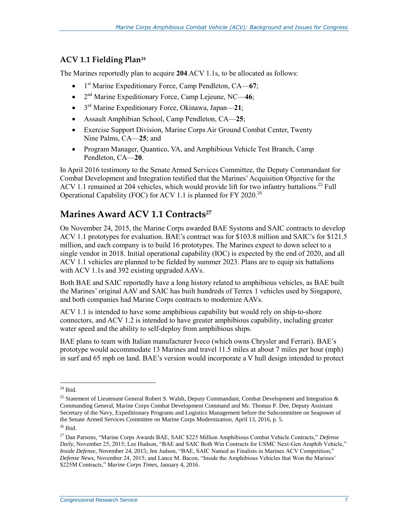#### **ACV 1.1 Fielding Plan<sup>24</sup>**

The Marines reportedly plan to acquire **204** ACV 1.1s, to be allocated as follows:

- 1 st Marine Expeditionary Force, Camp Pendleton, CA—**67**;
- 2<sup>nd</sup> Marine Expeditionary Force, Camp Lejeune, NC-46;
- 3 rd Marine Expeditionary Force, Okinawa, Japan—**21**;
- Assault Amphibian School, Camp Pendleton, CA—**25**;
- Exercise Support Division, Marine Corps Air Ground Combat Center, Twenty Nine Palms, CA—**25**; and
- Program Manager, Quantico, VA, and Amphibious Vehicle Test Branch, Camp Pendleton, CA—**20**.

In April 2016 testimony to the Senate Armed Services Committee, the Deputy Commandant for Combat Development and Integration testified that the Marines'Acquisition Objective for the ACV 1.1 remained at 204 vehicles, which would provide lift for two infantry battalions.<sup>25</sup> Full Operational Capability (FOC) for ACV 1.1 is planned for FY 2020.<sup>26</sup>

#### **Marines Award ACV 1.1 Contracts<sup>27</sup>**

On November 24, 2015, the Marine Corps awarded BAE Systems and SAIC contracts to develop ACV 1.1 prototypes for evaluation. BAE's contract was for \$103.8 million and SAIC's for \$121.5 million, and each company is to build 16 prototypes. The Marines expect to down select to a single vendor in 2018. Initial operational capability (IOC) is expected by the end of 2020, and all ACV 1.1 vehicles are planned to be fielded by summer 2023. Plans are to equip six battalions with ACV 1.1s and 392 existing upgraded AAVs.

Both BAE and SAIC reportedly have a long history related to amphibious vehicles, as BAE built the Marines' original AAV and SAIC has built hundreds of Terrex 1 vehicles used by Singapore, and both companies had Marine Corps contracts to modernize AAVs.

ACV 1.1 is intended to have some amphibious capability but would rely on ship-to-shore connectors, and ACV 1.2 is intended to have greater amphibious capability, including greater water speed and the ability to self-deploy from amphibious ships.

BAE plans to team with Italian manufacturer Iveco (which owns Chrysler and Ferrari). BAE's prototype would accommodate 13 Marines and travel 11.5 miles at about 7 miles per hour (mph) in surf and 65 mph on land. BAE's version would incorporate a V hull design intended to protect

 $\overline{a}$  $^{24}$  Ibid.

<sup>&</sup>lt;sup>25</sup> Statement of Lieutenant General Robert S. Walsh, Deputy Commandant, Combat Development and Integration & Commanding General, Marine Corps Combat Development Command and Mr. Thomas P. Dee, Deputy Assistant Secretary of the Navy, Expeditionary Programs and Logistics Management before the Subcommittee on Seapower of the Senate Armed Services Committee on Marine Corps Modernization, April 13, 2016, p. 5.  $26$  Ibid.

<sup>27</sup> Dan Parsons, "Marine Corps Awards BAE, SAIC \$225 Million Amphibious Combat Vehicle Contracts," *Defense Daily,* November 25, 2015; Lee Hudson, "BAE and SAIC Both Win Contracts for USMC Next-Gen Amphib Vehicle," *Inside Defense,* November 24, 2015; Jen Judson, "BAE, SAIC Named as Finalists in Marines ACV Competition," *Defense News,* November 24, 2015; and Lance M. Bacon, "Inside the Amphibious Vehicles that Won the Marines' \$225M Contracts," *Marine Corps Times*, January 4, 2016.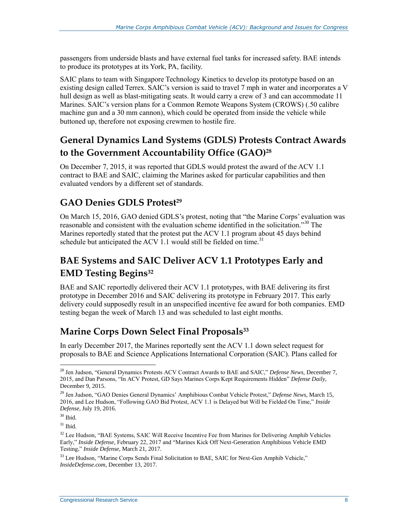passengers from underside blasts and have external fuel tanks for increased safety. BAE intends to produce its prototypes at its York, PA, facility.

SAIC plans to team with Singapore Technology Kinetics to develop its prototype based on an existing design called Terrex. SAIC's version is said to travel 7 mph in water and incorporates a V hull design as well as blast-mitigating seats. It would carry a crew of 3 and can accommodate 11 Marines. SAIC's version plans for a Common Remote Weapons System (CROWS) (.50 calibre machine gun and a 30 mm cannon), which could be operated from inside the vehicle while buttoned up, therefore not exposing crewmen to hostile fire.

#### **General Dynamics Land Systems (GDLS) Protests Contract Awards to the Government Accountability Office (GAO)<sup>28</sup>**

On December 7, 2015, it was reported that GDLS would protest the award of the ACV 1.1 contract to BAE and SAIC, claiming the Marines asked for particular capabilities and then evaluated vendors by a different set of standards.

#### **GAO Denies GDLS Protest<sup>29</sup>**

On March 15, 2016, GAO denied GDLS's protest, noting that "the Marine Corps' evaluation was reasonable and consistent with the evaluation scheme identified in the solicitation."<sup>30</sup> The Marines reportedly stated that the protest put the ACV 1.1 program about 45 days behind schedule but anticipated the ACV 1.1 would still be fielded on time.<sup>31</sup>

### **BAE Systems and SAIC Deliver ACV 1.1 Prototypes Early and EMD Testing Begins<sup>32</sup>**

BAE and SAIC reportedly delivered their ACV 1.1 prototypes, with BAE delivering its first prototype in December 2016 and SAIC delivering its prototype in February 2017. This early delivery could supposedly result in an unspecified incentive fee award for both companies. EMD testing began the week of March 13 and was scheduled to last eight months.

#### **Marine Corps Down Select Final Proposals<sup>33</sup>**

In early December 2017, the Marines reportedly sent the ACV 1.1 down select request for proposals to BAE and Science Applications International Corporation (SAIC). Plans called for

<sup>28</sup> Jen Judson, "General Dynamics Protests ACV Contract Awards to BAE and SAIC," *Defense News,* December 7, 2015, and Dan Parsons, "In ACV Protest, GD Says Marines Corps Kept Requirements Hidden" *Defense Daily,*  December 9, 2015.

<sup>29</sup> Jen Judson, "GAO Denies General Dynamics' Amphibious Combat Vehicle Protest," *Defense News,* March 15, 2016, and Lee Hudson, "Following GAO Bid Protest, ACV 1.1 is Delayed but Will be Fielded On Time," *Inside Defense,* July 19, 2016.

 $30$  Ibid.

 $31$  Ibid.

<sup>&</sup>lt;sup>32</sup> Lee Hudson, "BAE Systems, SAIC Will Receive Incentive Fee from Marines for Delivering Amphib Vehicles Early," *Inside Defense,* February 22, 2017 and "Marines Kick Off Next-Generation Amphibious Vehicle EMD Testing," *Inside Defense*, March 21, 2017.

<sup>&</sup>lt;sup>33</sup> Lee Hudson, "Marine Corps Sends Final Solicitation to BAE, SAIC for Next-Gen Amphib Vehicle," *InsideDefense.com,* December 13, 2017.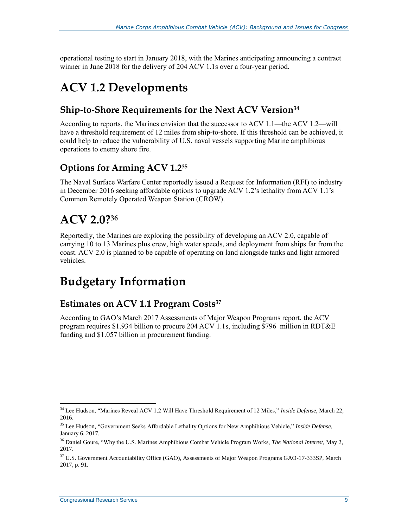operational testing to start in January 2018, with the Marines anticipating announcing a contract winner in June 2018 for the delivery of 204 ACV 1.1s over a four-year period.

### **ACV 1.2 Developments**

#### **Ship-to-Shore Requirements for the Next ACV Version<sup>34</sup>**

According to reports, the Marines envision that the successor to ACV 1.1—the ACV 1.2—will have a threshold requirement of 12 miles from ship-to-shore. If this threshold can be achieved, it could help to reduce the vulnerability of U.S. naval vessels supporting Marine amphibious operations to enemy shore fire.

#### **Options for Arming ACV 1.2<sup>35</sup>**

The Naval Surface Warfare Center reportedly issued a Request for Information (RFI) to industry in December 2016 seeking affordable options to upgrade ACV 1.2's lethality from ACV 1.1's Common Remotely Operated Weapon Station (CROW).

# **ACV 2.0? 36**

Reportedly, the Marines are exploring the possibility of developing an ACV 2.0, capable of carrying 10 to 13 Marines plus crew, high water speeds, and deployment from ships far from the coast. ACV 2.0 is planned to be capable of operating on land alongside tanks and light armored vehicles.

### **Budgetary Information**

#### **Estimates on ACV 1.1 Program Costs<sup>37</sup>**

According to GAO's March 2017 Assessments of Major Weapon Programs report, the ACV program requires \$1.934 billion to procure 204 ACV 1.1s, including \$796 million in RDT&E funding and \$1.057 billion in procurement funding.

 $\overline{a}$ <sup>34</sup> Lee Hudson, "Marines Reveal ACV 1.2 Will Have Threshold Requirement of 12 Miles," *Inside Defense,* March 22, 2016.

<sup>35</sup> Lee Hudson, "Government Seeks Affordable Lethality Options for New Amphibious Vehicle," *Inside Defense,*  January 6, 2017.

<sup>36</sup> Daniel Goure, "Why the U.S. Marines Amphibious Combat Vehicle Program Works, *The National Interest,* May 2, 2017.

<sup>&</sup>lt;sup>37</sup> U.S. Government Accountability Office (GAO), Assessments of Major Weapon Programs GAO-17-333SP, March 2017, p. 91.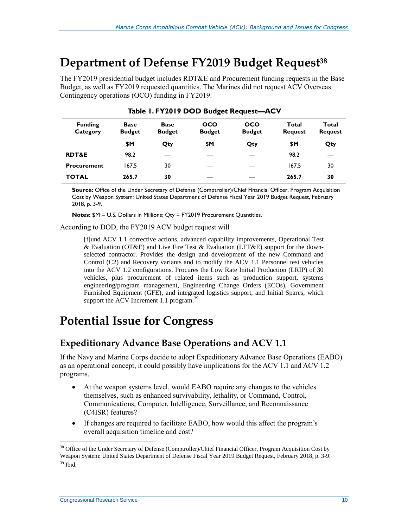### **Department of Defense FY2019 Budget Request<sup>38</sup>**

The FY2019 presidential budget includes RDT&E and Procurement funding requests in the Base Budget, as well as FY2019 requested quantities. The Marines did not request ACV Overseas Contingency operations (OCO) funding in FY2019.

| <b>Funding</b><br>Category | <b>Base</b><br><b>Budget</b> | <b>Base</b><br><b>Budget</b> | <b>OCO</b><br><b>Budget</b> | <b>OCO</b><br><b>Budget</b> | Total<br><b>Request</b> | Total<br><b>Request</b> |
|----------------------------|------------------------------|------------------------------|-----------------------------|-----------------------------|-------------------------|-------------------------|
|                            | \$M                          | Qty                          | \$Μ                         | Qty                         | \$Μ                     | Qty                     |
| <b>RDT&amp;E</b>           | 98.2                         |                              |                             |                             | 98.2                    |                         |
| <b>Procurement</b>         | 167.5                        | 30                           |                             |                             | 167.5                   | 30                      |
| <b>TOTAL</b>               | 265.7                        | 30                           |                             |                             | 265.7                   | 30                      |

|  |  |  |  | Table 1. FY2019 DOD Budget Request-ACV |  |
|--|--|--|--|----------------------------------------|--|
|--|--|--|--|----------------------------------------|--|

**Source:** Office of the Under Secretary of Defense (Comptroller)/Chief Financial Officer, Program Acquisition Cost by Weapon System: United States Department of Defense Fiscal Year 2019 Budget Request, February 2018, p. 3-9.

**Notes:** \$M = U.S. Dollars in Millions; Qty = FY2019 Procurement Quantities.

According to DOD, the FY2019 ACV budget request will

[f]und ACV 1.1 corrective actions, advanced capability improvements, Operational Test & Evaluation (OT&E) and Live Fire Test & Evaluation (LFT&E) support for the downselected contractor. Provides the design and development of the new Command and Control (C2) and Recovery variants and to modify the ACV 1.1 Personnel test vehicles into the ACV 1.2 configurations. Procures the Low Rate Initial Production (LRIP) of 30 vehicles, plus procurement of related items such as production support, systems engineering/program management, Engineering Change Orders (ECOs), Government Furnished Equipment (GFE), and integrated logistics support, and Initial Spares, which support the ACV Increment 1.1 program. $^{39}$ 

### **Potential Issue for Congress**

#### **Expeditionary Advance Base Operations and ACV 1.1**

If the Navy and Marine Corps decide to adopt Expeditionary Advance Base Operations (EABO) as an operational concept, it could possibly have implications for the ACV 1.1 and ACV 1.2 programs.

- At the weapon systems level, would EABO require any changes to the vehicles themselves, such as enhanced survivability, lethality, or Command, Control, Communications, Computer, Intelligence, Surveillance, and Reconnaissance (C4ISR) features?
- If changes are required to facilitate EABO, how would this affect the program's overall acquisition timeline and cost?

<sup>&</sup>lt;sup>38</sup> Office of the Under Secretary of Defense (Comptroller)/Chief Financial Officer, Program Acquisition Cost by Weapon System: United States Department of Defense Fiscal Year 2019 Budget Request, February 2018, p. 3-9.  $39$  Ibid.